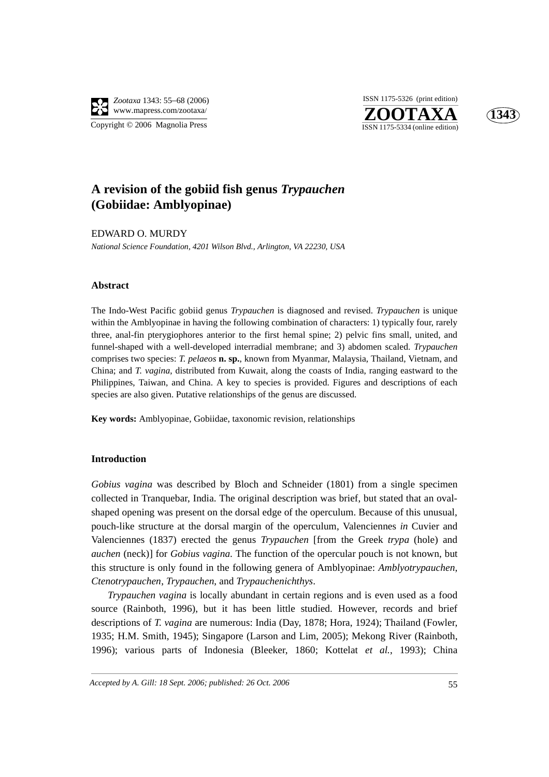

**ZOOTAXA**<br>ISSN 1175-5334 (online edition) ISSN 1175-5326 (print edition)



# **A revision of the gobiid fish genus** *Trypauchen* **(Gobiidae: Amblyopinae)**

EDWARD O. MURDY *National Science Foundation, 4201 Wilson Blvd., Arlington, VA 22230, USA*

### **Abstract**

The Indo-West Pacific gobiid genus *Trypauchen* is diagnosed and revised. *Trypauchen* is unique within the Amblyopinae in having the following combination of characters: 1) typically four, rarely three, anal-fin pterygiophores anterior to the first hemal spine; 2) pelvic fins small, united, and funnel-shaped with a well-developed interradial membrane; and 3) abdomen scaled. *Trypauchen* comprises two species: *T. pelaeos* **n. sp.**, known from Myanmar, Malaysia, Thailand, Vietnam, and China; and *T. vagina*, distributed from Kuwait, along the coasts of India, ranging eastward to the Philippines, Taiwan, and China. A key to species is provided. Figures and descriptions of each species are also given. Putative relationships of the genus are discussed.

**Key words:** Amblyopinae, Gobiidae, taxonomic revision, relationships

### **Introduction**

*Gobius vagina* was described by Bloch and Schneider (1801) from a single specimen collected in Tranquebar, India. The original description was brief, but stated that an ovalshaped opening was present on the dorsal edge of the operculum. Because of this unusual, pouch-like structure at the dorsal margin of the operculum, Valenciennes *in* Cuvier and Valenciennes (1837) erected the genus *Trypauchen* [from the Greek *trypa* (hole) and *auchen* (neck)] for *Gobius vagina*. The function of the opercular pouch is not known, but this structure is only found in the following genera of Amblyopinae: *Amblyotrypauchen*, *Ctenotrypauchen*, *Trypauchen*, and *Trypauchenichthys*.

*Trypauchen vagina* is locally abundant in certain regions and is even used as a food source (Rainboth, 1996), but it has been little studied. However, records and brief descriptions of *T. vagina* are numerous: India (Day, 1878; Hora, 1924); Thailand (Fowler, 1935; H.M. Smith, 1945); Singapore (Larson and Lim, 2005); Mekong River (Rainboth, 1996); various parts of Indonesia (Bleeker, 1860; Kottelat *et al.*, 1993); China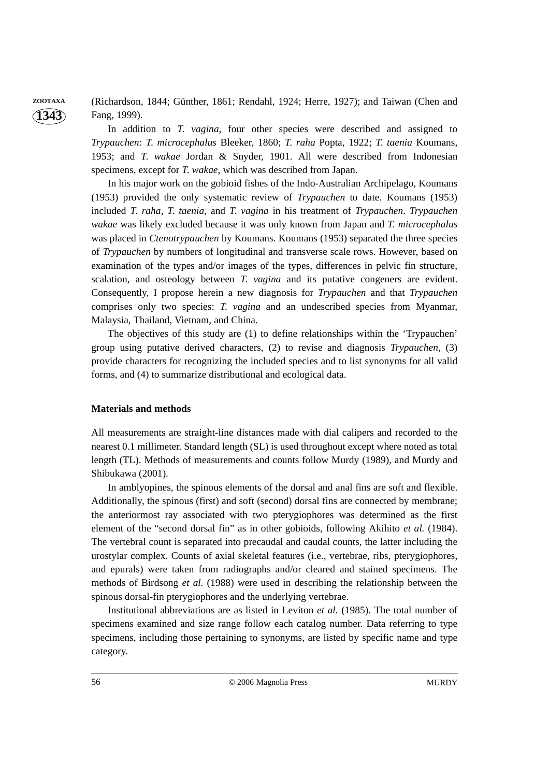**ZOOTAXA** (Richardson, 1844; Günther, 1861; Rendahl, 1924; Herre, 1927); and Taiwan (Chen and Fang, 1999).

> In addition to *T*. *vagina*, four other species were described and assigned to *Trypauchen*: *T*. *microcephalus* Bleeker, 1860; *T*. *raha* Popta, 1922; *T*. *taenia* Koumans, 1953; and *T*. *wakae* Jordan & Snyder, 1901. All were described from Indonesian specimens, except for *T*. *wakae*, which was described from Japan.

> In his major work on the gobioid fishes of the Indo-Australian Archipelago, Koumans (1953) provided the only systematic review of *Trypauchen* to date. Koumans (1953) included *T*. *raha*, *T*. *taenia*, and *T*. *vagina* in his treatment of *Trypauchen*. *Trypauchen wakae* was likely excluded because it was only known from Japan and *T*. *microcephalus* was placed in *Ctenotrypauchen* by Koumans. Koumans (1953) separated the three species of *Trypauchen* by numbers of longitudinal and transverse scale rows. However, based on examination of the types and/or images of the types, differences in pelvic fin structure, scalation, and osteology between *T*. *vagina* and its putative congeners are evident. Consequently, I propose herein a new diagnosis for *Trypauchen* and that *Trypauchen* comprises only two species: *T*. *vagina* and an undescribed species from Myanmar, Malaysia, Thailand, Vietnam, and China.

> The objectives of this study are (1) to define relationships within the 'Trypauchen' group using putative derived characters, (2) to revise and diagnosis *Trypauchen*, (3) provide characters for recognizing the included species and to list synonyms for all valid forms, and (4) to summarize distributional and ecological data.

### **Materials and methods**

All measurements are straight-line distances made with dial calipers and recorded to the nearest 0.1 millimeter. Standard length (SL) is used throughout except where noted as total length (TL). Methods of measurements and counts follow Murdy (1989), and Murdy and Shibukawa (2001).

In amblyopines, the spinous elements of the dorsal and anal fins are soft and flexible. Additionally, the spinous (first) and soft (second) dorsal fins are connected by membrane; the anteriormost ray associated with two pterygiophores was determined as the first element of the "second dorsal fin" as in other gobioids, following Akihito *et al.* (1984). The vertebral count is separated into precaudal and caudal counts, the latter including the urostylar complex. Counts of axial skeletal features (i.e., vertebrae, ribs, pterygiophores, and epurals) were taken from radiographs and/or cleared and stained specimens. The methods of Birdsong *et al.* (1988) were used in describing the relationship between the spinous dorsal-fin pterygiophores and the underlying vertebrae.

Institutional abbreviations are as listed in Leviton *et al.* (1985). The total number of specimens examined and size range follow each catalog number. Data referring to type specimens, including those pertaining to synonyms, are listed by specific name and type category.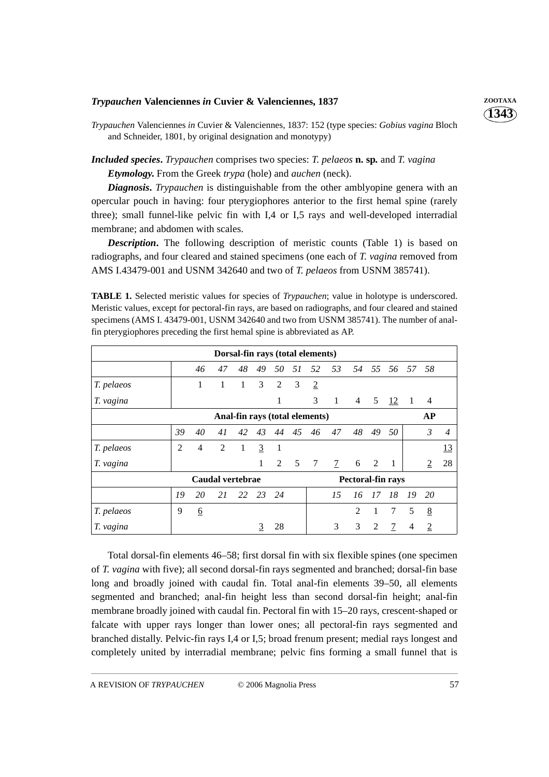# *Trypauchen* **Valenciennes** *in* **Cuvier & Valenciennes, 1837 <b>***ZOOTAXA*

*Trypauchen* Valenciennes *in* Cuvier & Valenciennes, 1837: 152 (type species: *Gobius vagina* Bloch and Schneider, 1801, by original designation and monotypy)

*Included species***.** *Trypauchen* comprises two species: *T. pelaeos* **n. sp***.* and *T. vagina Etymology***.** From the Greek *trypa* (hole) and *auchen* (neck).

*Diagnosis***.** *Trypauchen* is distinguishable from the other amblyopine genera with an opercular pouch in having: four pterygiophores anterior to the first hemal spine (rarely three); small funnel-like pelvic fin with I,4 or I,5 rays and well-developed interradial membrane; and abdomen with scales.

*Description*. The following description of meristic counts (Table 1) is based on radiographs, and four cleared and stained specimens (one each of *T. vagina* removed from AMS I.43479-001 and USNM 342640 and two of *T. pelaeos* from USNM 385741).

**TABLE 1.** Selected meristic values for species of *Trypauchen*; value in holotype is underscored. Meristic values, except for pectoral-fin rays, are based on radiographs, and four cleared and stained specimens (AMS I. 43479-001, USNM 342640 and two from USNM 385741). The number of analfin pterygiophores preceding the first hemal spine is abbreviated as AP.

| Dorsal-fin rays (total elements)     |                  |    |    |    |                |    |                     |                |                               |                |          |                |      |                |                |
|--------------------------------------|------------------|----|----|----|----------------|----|---------------------|----------------|-------------------------------|----------------|----------|----------------|------|----------------|----------------|
|                                      |                  | 46 | 47 | 48 |                |    |                     |                | 49 50 51 52 53 54 55 56 57 58 |                |          |                |      |                |                |
| T. pelaeos                           |                  | 1  | 1  | 1  | 3 <sup>7</sup> | 2  | 3                   | $\overline{2}$ |                               |                |          |                |      |                |                |
| T. vagina                            |                  |    |    |    |                | 1  |                     | 3              | 1                             | $\overline{4}$ | 5        | <u>12</u>      | -1   | 4              |                |
| AP<br>Anal-fin rays (total elements) |                  |    |    |    |                |    |                     |                |                               |                |          |                |      |                |                |
|                                      | 39               | 40 | 41 |    |                |    |                     | 42 43 44 45 46 | 47                            | 48             | 49       | 50             |      | $\mathfrak{Z}$ | $\overline{4}$ |
| T. pelaeos                           | $\overline{2}$   | 4  | 2  | 1  | $\overline{3}$ | -1 |                     |                |                               |                |          |                |      |                | <u>13</u>      |
| T. vagina                            |                  |    |    |    |                |    | $2 \quad 5 \quad 7$ |                | $7\overline{ }$               | 6              | 2        | $\overline{1}$ |      | $\overline{2}$ | 28             |
|                                      | Caudal vertebrae |    |    |    |                |    | Pectoral-fin rays   |                |                               |                |          |                |      |                |                |
|                                      | 19               | 20 | 21 |    | 22 23 24       |    |                     |                | 15                            |                | 16 17 18 |                | - 19 | 20             |                |
| T. pelaeos                           | 9                | 6  |    |    |                |    |                     |                |                               | $\mathfrak{D}$ | 1        | $\tau$         | 5    | 8              |                |
| T. vagina                            |                  |    |    |    | 3              | 28 |                     |                | 3                             | 3              | 2        | $\overline{1}$ | 4    | $\overline{2}$ |                |

Total dorsal-fin elements 46–58; first dorsal fin with six flexible spines (one specimen of *T. vagina* with five); all second dorsal-fin rays segmented and branched; dorsal-fin base long and broadly joined with caudal fin. Total anal-fin elements 39–50, all elements segmented and branched; anal-fin height less than second dorsal-fin height; anal-fin membrane broadly joined with caudal fin. Pectoral fin with 15–20 rays, crescent-shaped or falcate with upper rays longer than lower ones; all pectoral-fin rays segmented and branched distally. Pelvic-fin rays I,4 or I,5; broad frenum present; medial rays longest and completely united by interradial membrane; pelvic fins forming a small funnel that is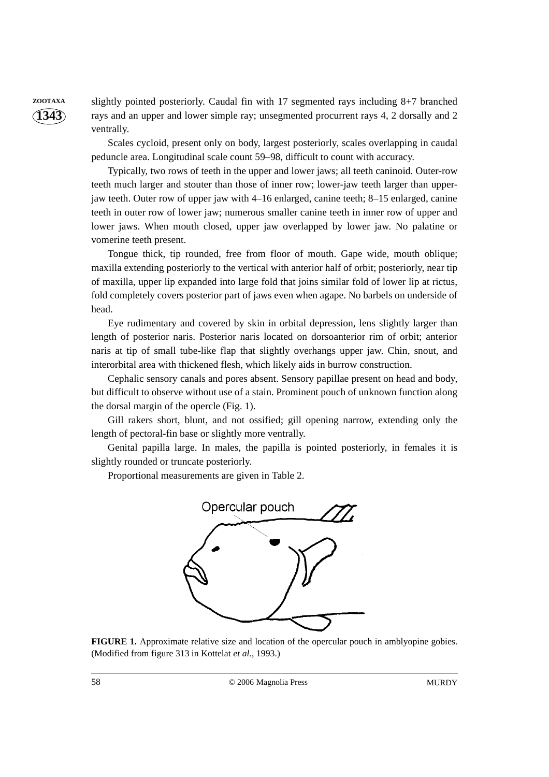**ZOOTAXA** slightly pointed posteriorly. Caudal fin with 17 segmented rays including 8+7 branched rays and an upper and lower simple ray; unsegmented procurrent rays 4, 2 dorsally and 2 ventrally.

> Scales cycloid, present only on body, largest posteriorly, scales overlapping in caudal peduncle area. Longitudinal scale count 59–98, difficult to count with accuracy.

> Typically, two rows of teeth in the upper and lower jaws; all teeth caninoid. Outer-row teeth much larger and stouter than those of inner row; lower-jaw teeth larger than upperjaw teeth. Outer row of upper jaw with 4–16 enlarged, canine teeth; 8–15 enlarged, canine teeth in outer row of lower jaw; numerous smaller canine teeth in inner row of upper and lower jaws. When mouth closed, upper jaw overlapped by lower jaw. No palatine or vomerine teeth present.

> Tongue thick, tip rounded, free from floor of mouth. Gape wide, mouth oblique; maxilla extending posteriorly to the vertical with anterior half of orbit; posteriorly, near tip of maxilla, upper lip expanded into large fold that joins similar fold of lower lip at rictus, fold completely covers posterior part of jaws even when agape. No barbels on underside of head.

> Eye rudimentary and covered by skin in orbital depression, lens slightly larger than length of posterior naris. Posterior naris located on dorsoanterior rim of orbit; anterior naris at tip of small tube-like flap that slightly overhangs upper jaw. Chin, snout, and interorbital area with thickened flesh, which likely aids in burrow construction.

> Cephalic sensory canals and pores absent. Sensory papillae present on head and body, but difficult to observe without use of a stain. Prominent pouch of unknown function along the dorsal margin of the opercle (Fig. 1).

> Gill rakers short, blunt, and not ossified; gill opening narrow, extending only the length of pectoral-fin base or slightly more ventrally.

> Genital papilla large. In males, the papilla is pointed posteriorly, in females it is slightly rounded or truncate posteriorly.

Proportional measurements are given in Table 2.



**FIGURE 1.** Approximate relative size and location of the opercular pouch in amblyopine gobies. (Modified from figure 313 in Kottelat *et al.*, 1993.)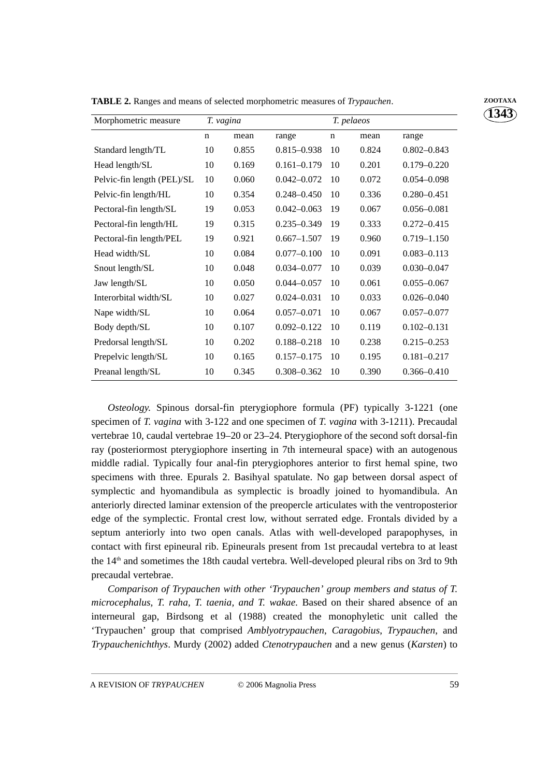**TABLE 2.** Ranges and means of selected morphometric measures of *Trypauchen*. **ZOOTAXA** 

| Morphometric measure       | T. vagina   |       |                 |             |       |                 |
|----------------------------|-------------|-------|-----------------|-------------|-------|-----------------|
|                            | $\mathbf n$ | mean  | range           | $\mathbf n$ | mean  | range           |
| Standard length/TL         | 10          | 0.855 | $0.815 - 0.938$ | 10          | 0.824 | $0.802 - 0.843$ |
| Head length/SL             | 10          | 0.169 | $0.161 - 0.179$ | 10          | 0.201 | $0.179 - 0.220$ |
| Pelvic-fin length (PEL)/SL | 10          | 0.060 | $0.042 - 0.072$ | 10          | 0.072 | $0.054 - 0.098$ |
| Pelvic-fin length/HL       | 10          | 0.354 | $0.248 - 0.450$ | 10          | 0.336 | $0.280 - 0.451$ |
| Pectoral-fin length/SL     | 19          | 0.053 | $0.042 - 0.063$ | 19          | 0.067 | $0.056 - 0.081$ |
| Pectoral-fin length/HL     | 19          | 0.315 | $0.235 - 0.349$ | 19          | 0.333 | $0.272 - 0.415$ |
| Pectoral-fin length/PEL    | 19          | 0.921 | $0.667 - 1.507$ | 19          | 0.960 | $0.719 - 1.150$ |
| Head width/SL              | 10          | 0.084 | $0.077 - 0.100$ | 10          | 0.091 | $0.083 - 0.113$ |
| Snout length/SL            | 10          | 0.048 | $0.034 - 0.077$ | 10          | 0.039 | $0.030 - 0.047$ |
| Jaw length/SL              | 10          | 0.050 | $0.044 - 0.057$ | 10          | 0.061 | $0.055 - 0.067$ |
| Interorbital width/SL      | 10          | 0.027 | $0.024 - 0.031$ | 10          | 0.033 | $0.026 - 0.040$ |
| Nape width/SL              | 10          | 0.064 | $0.057 - 0.071$ | 10          | 0.067 | $0.057 - 0.077$ |
| Body depth/SL              | 10          | 0.107 | $0.092 - 0.122$ | 10          | 0.119 | $0.102 - 0.131$ |
| Predorsal length/SL        | 10          | 0.202 | $0.188 - 0.218$ | 10          | 0.238 | $0.215 - 0.253$ |
| Prepelvic length/SL        | 10          | 0.165 | $0.157 - 0.175$ | 10          | 0.195 | $0.181 - 0.217$ |
| Preanal length/SL          | 10          | 0.345 | $0.308 - 0.362$ | 10          | 0.390 | $0.366 - 0.410$ |

*Osteology*. Spinous dorsal-fin pterygiophore formula (PF) typically 3-1221 (one specimen of *T. vagina* with 3-122 and one specimen of *T. vagina* with 3-1211). Precaudal vertebrae 10, caudal vertebrae 19–20 or 23–24. Pterygiophore of the second soft dorsal-fin ray (posteriormost pterygiophore inserting in 7th interneural space) with an autogenous middle radial. Typically four anal-fin pterygiophores anterior to first hemal spine, two specimens with three. Epurals 2. Basihyal spatulate. No gap between dorsal aspect of symplectic and hyomandibula as symplectic is broadly joined to hyomandibula. An anteriorly directed laminar extension of the preopercle articulates with the ventroposterior edge of the symplectic. Frontal crest low, without serrated edge. Frontals divided by a septum anteriorly into two open canals. Atlas with well-developed parapophyses, in contact with first epineural rib. Epineurals present from 1st precaudal vertebra to at least the 14<sup>th</sup> and sometimes the 18th caudal vertebra. Well-developed pleural ribs on 3rd to 9th precaudal vertebrae.

*Comparison of Trypauchen with other 'Trypauchen' group members and* s*tatus of T. microcephalus, T. raha, T. taenia, and T. wakae.* Based on their shared absence of an interneural gap, Birdsong et al (1988) created the monophyletic unit called the 'Trypauchen' group that comprised *Amblyotrypauchen*, *Caragobius*, *Trypauchen*, and *Trypauchenichthys*. Murdy (2002) added *Ctenotrypauchen* and a new genus (*Karsten*) to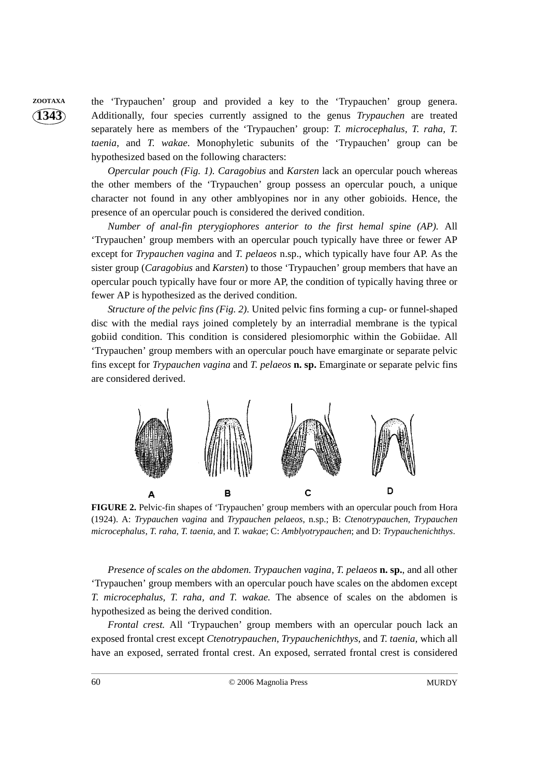**ZOOTAXA** the 'Trypauchen' group and provided a key to the 'Trypauchen' group genera. Additionally, four species currently assigned to the genus *Trypauchen* are treated separately here as members of the 'Trypauchen' group: *T. microcephalus, T. raha, T. taenia*, and *T. wakae*. Monophyletic subunits of the 'Trypauchen' group can be hypothesized based on the following characters:

> *Opercular pouch (Fig. 1). Caragobius* and *Karsten* lack an opercular pouch whereas the other members of the 'Trypauchen' group possess an opercular pouch, a unique character not found in any other amblyopines nor in any other gobioids. Hence, the presence of an opercular pouch is considered the derived condition.

> *Number of anal-fin pterygiophores anterior to the first hemal spine (AP).* All 'Trypauchen' group members with an opercular pouch typically have three or fewer AP except for *Trypauchen vagina* and *T. pelaeos* n.sp., which typically have four AP. As the sister group (*Caragobius* and *Karsten*) to those 'Trypauchen' group members that have an opercular pouch typically have four or more AP, the condition of typically having three or fewer AP is hypothesized as the derived condition.

> *Structure of the pelvic fins (Fig. 2).* United pelvic fins forming a cup- or funnel-shaped disc with the medial rays joined completely by an interradial membrane is the typical gobiid condition. This condition is considered plesiomorphic within the Gobiidae. All 'Trypauchen' group members with an opercular pouch have emarginate or separate pelvic fins except for *Trypauchen vagina* and *T. pelaeos* **n. sp.** Emarginate or separate pelvic fins are considered derived.



**FIGURE 2.** Pelvic-fin shapes of 'Trypauchen' group members with an opercular pouch from Hora (1924). A: *Trypauchen vagina* and *Trypauchen pelaeos*, n.sp.; B: *Ctenotrypauchen*, *Trypauchen microcephalus*, *T. raha*, *T. taenia*, and *T. wakae*; C: *Amblyotrypauchen*; and D: *Trypauchenichthys*.

*Presence of scales on the abdomen. Trypauchen vagina*, *T. pelaeos* **n. sp.**, and all other 'Trypauchen' group members with an opercular pouch have scales on the abdomen except *T. microcephalus, T. raha, and T. wakae.* The absence of scales on the abdomen is hypothesized as being the derived condition.

*Frontal crest.* All 'Trypauchen' group members with an opercular pouch lack an exposed frontal crest except *Ctenotrypauchen*, *Trypauchenichthys*, and *T. taenia,* which all have an exposed, serrated frontal crest. An exposed, serrated frontal crest is considered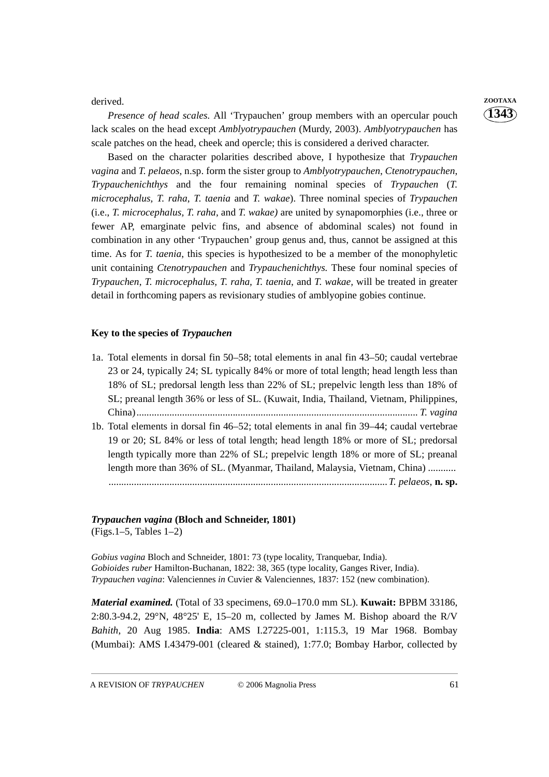derived. **ZOOTAXA**

*Presence of head scales.* All 'Trypauchen' group members with an opercular pouch lack scales on the head except *Amblyotrypauchen* (Murdy, 2003). *Amblyotrypauchen* has scale patches on the head, cheek and opercle; this is considered a derived character.

Based on the character polarities described above, I hypothesize that *Trypauchen vagina* and *T. pelaeos*, n.sp. form the sister group to *Amblyotrypauchen*, *Ctenotrypauchen*, *Trypauchenichthys* and the four remaining nominal species of *Trypauchen* (*T. microcephalus, T. raha*, *T*. *taenia* and *T. wakae*). Three nominal species of *Trypauchen* (i.e., *T. microcephalus, T. raha*, and *T. wakae)* are united by synapomorphies (i.e., three or fewer AP, emarginate pelvic fins, and absence of abdominal scales) not found in combination in any other 'Trypauchen' group genus and, thus, cannot be assigned at this time. As for *T. taenia*, this species is hypothesized to be a member of the monophyletic unit containing *Ctenotrypauchen* and *Trypauchenichthys.* These four nominal species of *Trypauchen*, *T. microcephalus, T. raha, T. taenia*, and *T. wakae,* will be treated in greater detail in forthcoming papers as revisionary studies of amblyopine gobies continue.

### **Key to the species of** *Trypauchen*

1a. Total elements in dorsal fin 50–58; total elements in anal fin 43–50; caudal vertebrae 23 or 24, typically 24; SL typically 84% or more of total length; head length less than 18% of SL; predorsal length less than 22% of SL; prepelvic length less than 18% of SL; preanal length 36% or less of SL. (Kuwait, India, Thailand, Vietnam, Philippines, China)*............................................................................................................... T. vagina* 1b. Total elements in dorsal fin 46–52; total elements in anal fin 39–44; caudal vertebrae 19 or 20; SL 84% or less of total length; head length 18% or more of SL; predorsal length typically more than 22% of SL; prepelvic length 18% or more of SL; preanal length more than 36% of SL. (Myanmar, Thailand, Malaysia, Vietnam, China) ...........

*..............................................................................................................T. pelaeos*, **n. sp.**

# *Trypauchen vagina* **(Bloch and Schneider, 1801)**

(Figs.1–5, Tables 1–2)

*Gobius vagina* Bloch and Schneider, 1801: 73 (type locality, Tranquebar, India). *Gobioides ruber* Hamilton-Buchanan, 1822: 38, 365 (type locality, Ganges River, India). *Trypauchen vagina*: Valenciennes *in* Cuvier & Valenciennes, 1837: 152 (new combination).

*Material examined.* (Total of 33 specimens, 69.0–170.0 mm SL). **Kuwait:** BPBM 33186, 2:80.3-94.2, 29°N, 48°25' E, 15–20 m, collected by James M. Bishop aboard the R/V *Bahith*, 20 Aug 1985. **India**: AMS I.27225-001, 1:115.3, 19 Mar 1968. Bombay (Mumbai): AMS I.43479-001 (cleared & stained), 1:77.0; Bombay Harbor, collected by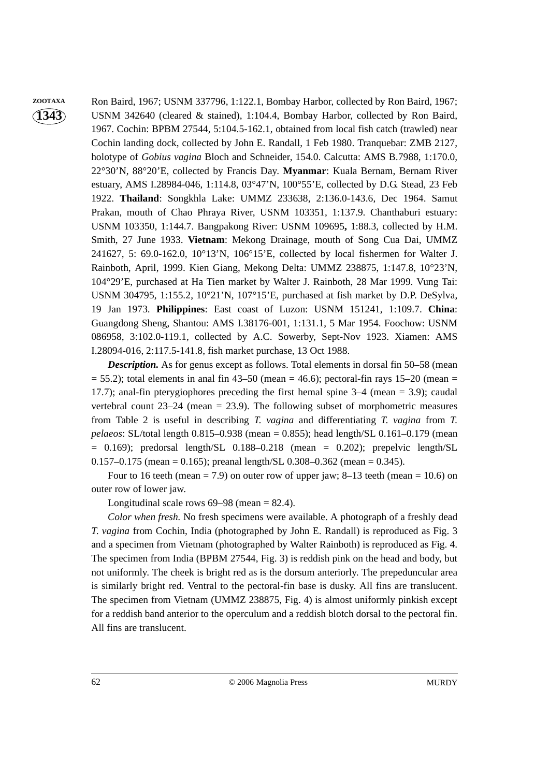**ZOOTAXA** Ron Baird, 1967; USNM 337796, 1:122.1, Bombay Harbor, collected by Ron Baird, 1967; USNM 342640 (cleared & stained), 1:104.4, Bombay Harbor, collected by Ron Baird, 1967. Cochin: BPBM 27544, 5:104.5-162.1, obtained from local fish catch (trawled) near Cochin landing dock, collected by John E. Randall, 1 Feb 1980. Tranquebar: ZMB 2127, holotype of *Gobius vagina* Bloch and Schneider, 154.0. Calcutta: AMS B.7988, 1:170.0, 22°30'N, 88°20'E, collected by Francis Day. **Myanmar**: Kuala Bernam, Bernam River estuary, AMS I.28984-046, 1:114.8, 03°47'N, 100°55'E, collected by D.G. Stead, 23 Feb 1922. **Thailand**: Songkhla Lake: UMMZ 233638, 2:136.0-143.6, Dec 1964. Samut Prakan, mouth of Chao Phraya River, USNM 103351, 1:137.9. Chanthaburi estuary: USNM 103350, 1:144.7. Bangpakong River: USNM 109695**,** 1:88.3, collected by H.M. Smith, 27 June 1933. **Vietnam**: Mekong Drainage, mouth of Song Cua Dai, UMMZ 241627, 5: 69.0-162.0, 10°13'N, 106°15'E, collected by local fishermen for Walter J. Rainboth, April, 1999. Kien Giang, Mekong Delta: UMMZ 238875, 1:147.8, 10°23'N, 104°29'E, purchased at Ha Tien market by Walter J. Rainboth, 28 Mar 1999. Vung Tai: USNM 304795, 1:155.2, 10°21'N, 107°15'E, purchased at fish market by D.P. DeSylva, 19 Jan 1973. **Philippines**: East coast of Luzon: USNM 151241, 1:109.7. **China**: Guangdong Sheng, Shantou: AMS I.38176-001, 1:131.1, 5 Mar 1954. Foochow: USNM 086958, 3:102.0-119.1, collected by A.C. Sowerby, Sept-Nov 1923. Xiamen: AMS I.28094-016, 2:117.5-141.8, fish market purchase, 13 Oct 1988.

> *Description.* As for genus except as follows. Total elements in dorsal fin 50–58 (mean  $= 55.2$ ); total elements in anal fin 43–50 (mean  $= 46.6$ ); pectoral-fin rays 15–20 (mean  $=$ 17.7); anal-fin pterygiophores preceding the first hemal spine 3–4 (mean = 3.9); caudal vertebral count  $23-24$  (mean = 23.9). The following subset of morphometric measures from Table 2 is useful in describing *T. vagina* and differentiating *T. vagina* from *T. pelaeos*: SL/total length 0.815–0.938 (mean = 0.855); head length/SL 0.161–0.179 (mean  $= 0.169$ ; predorsal length/SL 0.188–0.218 (mean  $= 0.202$ ); prepelvic length/SL 0.157–0.175 (mean = 0.165); preanal length/SL 0.308–0.362 (mean = 0.345).

> Four to 16 teeth (mean  $= 7.9$ ) on outer row of upper jaw; 8–13 teeth (mean  $= 10.6$ ) on outer row of lower jaw.

Longitudinal scale rows  $69-98$  (mean = 82.4).

*Color when fresh.* No fresh specimens were available. A photograph of a freshly dead *T*. *vagina* from Cochin, India (photographed by John E. Randall) is reproduced as Fig. 3 and a specimen from Vietnam (photographed by Walter Rainboth) is reproduced as Fig. 4. The specimen from India (BPBM 27544, Fig. 3) is reddish pink on the head and body, but not uniformly. The cheek is bright red as is the dorsum anteriorly. The prepeduncular area is similarly bright red. Ventral to the pectoral-fin base is dusky. All fins are translucent. The specimen from Vietnam (UMMZ 238875, Fig. 4) is almost uniformly pinkish except for a reddish band anterior to the operculum and a reddish blotch dorsal to the pectoral fin. All fins are translucent.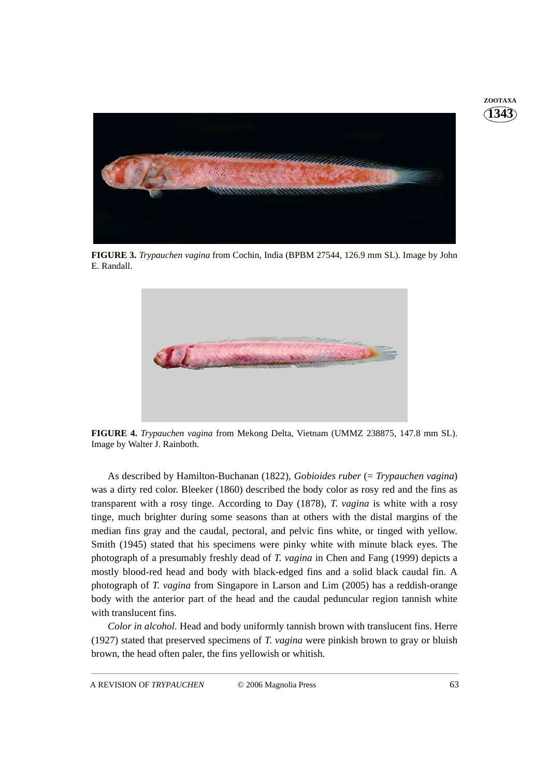

**FIGURE 3.** *Trypauchen vagina* from Cochin, India (BPBM 27544, 126.9 mm SL). Image by John E. Randall.



**FIGURE 4.** *Trypauchen vagina* from Mekong Delta, Vietnam (UMMZ 238875, 147.8 mm SL). Image by Walter J. Rainboth.

As described by Hamilton-Buchanan (1822), *Gobioides ruber* (= *Trypauchen vagina*) was a dirty red color. Bleeker (1860) described the body color as rosy red and the fins as transparent with a rosy tinge. According to Day (1878), *T*. *vagina* is white with a rosy tinge, much brighter during some seasons than at others with the distal margins of the median fins gray and the caudal, pectoral, and pelvic fins white, or tinged with yellow. Smith (1945) stated that his specimens were pinky white with minute black eyes. The photograph of a presumably freshly dead of *T. vagina* in Chen and Fang (1999) depicts a mostly blood-red head and body with black-edged fins and a solid black caudal fin. A photograph of *T. vagina* from Singapore in Larson and Lim (2005) has a reddish-orange body with the anterior part of the head and the caudal peduncular region tannish white with translucent fins.

*Color in alcohol.* Head and body uniformly tannish brown with translucent fins. Herre (1927) stated that preserved specimens of *T. vagina* were pinkish brown to gray or bluish brown, the head often paler, the fins yellowish or whitish.

**1343 ZOOTAXA**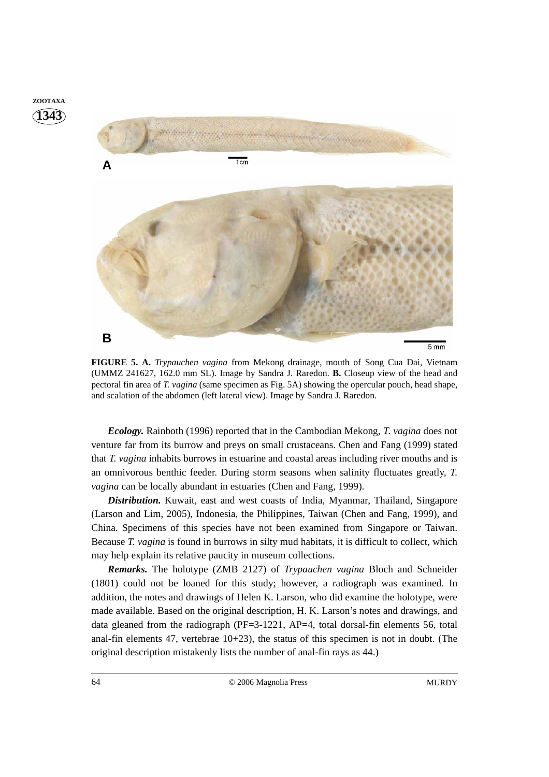



**FIGURE 5. A.** *Trypauchen vagina* from Mekong drainage, mouth of Song Cua Dai, Vietnam (UMMZ 241627, 162.0 mm SL). Image by Sandra J. Raredon. **B.** Closeup view of the head and pectoral fin area of *T. vagina* (same specimen as Fig. 5A) showing the opercular pouch, head shape, and scalation of the abdomen (left lateral view). Image by Sandra J. Raredon.

*Ecology.* Rainboth (1996) reported that in the Cambodian Mekong, *T*. *vagina* does not venture far from its burrow and preys on small crustaceans. Chen and Fang (1999) stated that *T. vagina* inhabits burrows in estuarine and coastal areas including river mouths and is an omnivorous benthic feeder. During storm seasons when salinity fluctuates greatly, *T. vagina* can be locally abundant in estuaries (Chen and Fang, 1999).

*Distribution.* Kuwait, east and west coasts of India, Myanmar, Thailand, Singapore (Larson and Lim, 2005), Indonesia, the Philippines, Taiwan (Chen and Fang, 1999), and China. Specimens of this species have not been examined from Singapore or Taiwan. Because *T. vagina* is found in burrows in silty mud habitats, it is difficult to collect, which may help explain its relative paucity in museum collections.

*Remarks.* The holotype (ZMB 2127) of *Trypauchen vagina* Bloch and Schneider (1801) could not be loaned for this study; however, a radiograph was examined. In addition, the notes and drawings of Helen K. Larson, who did examine the holotype, were made available. Based on the original description, H. K. Larson's notes and drawings, and data gleaned from the radiograph (PF=3-1221, AP=4, total dorsal-fin elements 56, total anal-fin elements 47, vertebrae  $10+23$ ), the status of this specimen is not in doubt. (The original description mistakenly lists the number of anal-fin rays as 44.)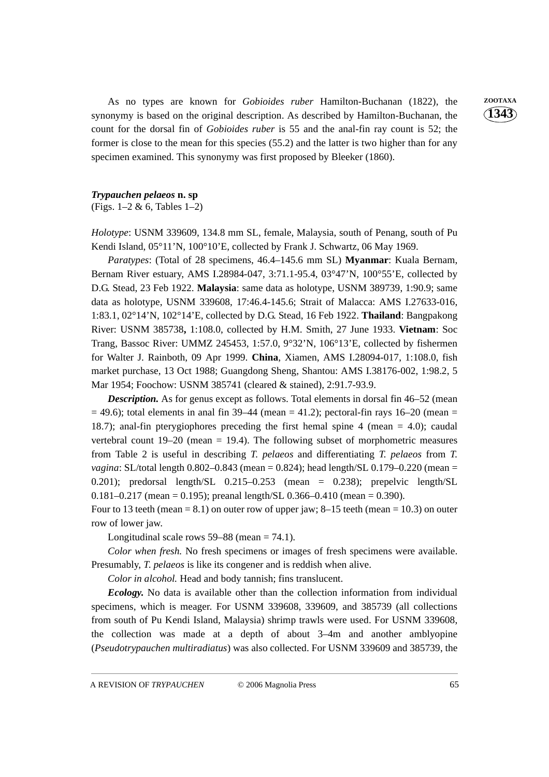As no types are known for *Gobioides ruber* Hamilton-Buchanan (1822), the **ZOOTAXA** synonymy is based on the original description. As described by Hamilton-Buchanan, the count for the dorsal fin of *Gobioides ruber* is 55 and the anal-fin ray count is 52; the former is close to the mean for this species (55.2) and the latter is two higher than for any specimen examined. This synonymy was first proposed by Bleeker (1860).

### *Trypauchen pelaeos* **n. sp**

(Figs. 1–2 & 6, Tables 1–2)

*Holotype*: USNM 339609, 134.8 mm SL, female, Malaysia, south of Penang, south of Pu Kendi Island, 05°11'N, 100°10'E, collected by Frank J. Schwartz, 06 May 1969.

*Paratypes*: (Total of 28 specimens, 46.4–145.6 mm SL) **Myanmar**: Kuala Bernam, Bernam River estuary, AMS I.28984-047, 3:71.1-95.4, 03°47'N, 100°55'E, collected by D.G. Stead, 23 Feb 1922. **Malaysia**: same data as holotype, USNM 389739, 1:90.9; same data as holotype, USNM 339608, 17:46.4-145.6; Strait of Malacca: AMS I.27633-016, 1:83.1, 02°14'N, 102°14'E, collected by D.G. Stead, 16 Feb 1922. **Thailand**: Bangpakong River: USNM 385738**,** 1:108.0, collected by H.M. Smith, 27 June 1933. **Vietnam**: Soc Trang, Bassoc River: UMMZ 245453, 1:57.0, 9°32'N, 106°13'E, collected by fishermen for Walter J. Rainboth, 09 Apr 1999. **China**, Xiamen, AMS I.28094-017, 1:108.0, fish market purchase, 13 Oct 1988; Guangdong Sheng, Shantou: AMS I.38176-002, 1:98.2, 5 Mar 1954; Foochow: USNM 385741 (cleared & stained), 2:91.7-93.9.

*Description.* As for genus except as follows. Total elements in dorsal fin 46–52 (mean  $= 49.6$ ); total elements in anal fin 39–44 (mean  $= 41.2$ ); pectoral-fin rays 16–20 (mean  $=$ 18.7); anal-fin pterygiophores preceding the first hemal spine 4 (mean = 4.0); caudal vertebral count  $19-20$  (mean = 19.4). The following subset of morphometric measures from Table 2 is useful in describing *T. pelaeos* and differentiating *T. pelaeos* from *T. vagina*: SL/total length 0.802–0.843 (mean = 0.824); head length/SL 0.179–0.220 (mean = 0.201); predorsal length/SL  $0.215-0.253$  (mean = 0.238); prepelvic length/SL 0.181–0.217 (mean = 0.195); preanal length/SL 0.366–0.410 (mean = 0.390).

Four to 13 teeth (mean = 8.1) on outer row of upper jaw;  $8-15$  teeth (mean = 10.3) on outer row of lower jaw.

Longitudinal scale rows  $59-88$  (mean = 74.1).

*Color when fresh.* No fresh specimens or images of fresh specimens were available. Presumably, *T*. *pelaeos* is like its congener and is reddish when alive.

*Color in alcohol.* Head and body tannish; fins translucent.

*Ecology.* No data is available other than the collection information from individual specimens, which is meager. For USNM 339608, 339609, and 385739 (all collections from south of Pu Kendi Island, Malaysia) shrimp trawls were used. For USNM 339608, the collection was made at a depth of about 3–4m and another amblyopine (*Pseudotrypauchen multiradiatus*) was also collected. For USNM 339609 and 385739, the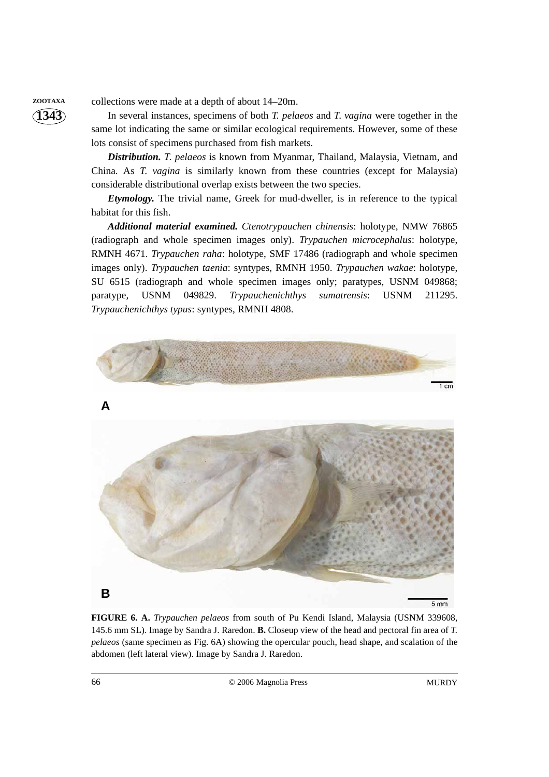**ZOOTAXA** collections were made at a depth of about 14–20m.

**1343**

In several instances, specimens of both *T. pelaeos* and *T*. *vagina* were together in the same lot indicating the same or similar ecological requirements. However, some of these lots consist of specimens purchased from fish markets.

*Distribution. T*. *pelaeos* is known from Myanmar, Thailand, Malaysia, Vietnam, and China. As *T*. *vagina* is similarly known from these countries (except for Malaysia) considerable distributional overlap exists between the two species.

*Etymology.* The trivial name, Greek for mud-dweller, is in reference to the typical habitat for this fish.

*Additional material examined. Ctenotrypauchen chinensis*: holotype, NMW 76865 (radiograph and whole specimen images only). *Trypauchen microcephalus*: holotype, RMNH 4671. *Trypauchen raha*: holotype, SMF 17486 (radiograph and whole specimen images only). *Trypauchen taenia*: syntypes, RMNH 1950. *Trypauchen wakae*: holotype, SU 6515 (radiograph and whole specimen images only; paratypes, USNM 049868; paratype, USNM 049829. *Trypauchenichthys sumatrensis*: USNM 211295. *Trypauchenichthys typus*: syntypes, RMNH 4808.



**FIGURE 6. A.** *Trypauchen pelaeos* from south of Pu Kendi Island, Malaysia (USNM 339608, 145.6 mm SL). Image by Sandra J. Raredon. **B.** Closeup view of the head and pectoral fin area of *T. pelaeos* (same specimen as Fig. 6A) showing the opercular pouch, head shape, and scalation of the abdomen (left lateral view). Image by Sandra J. Raredon.

66 © 2006 Magnolia Press MURDY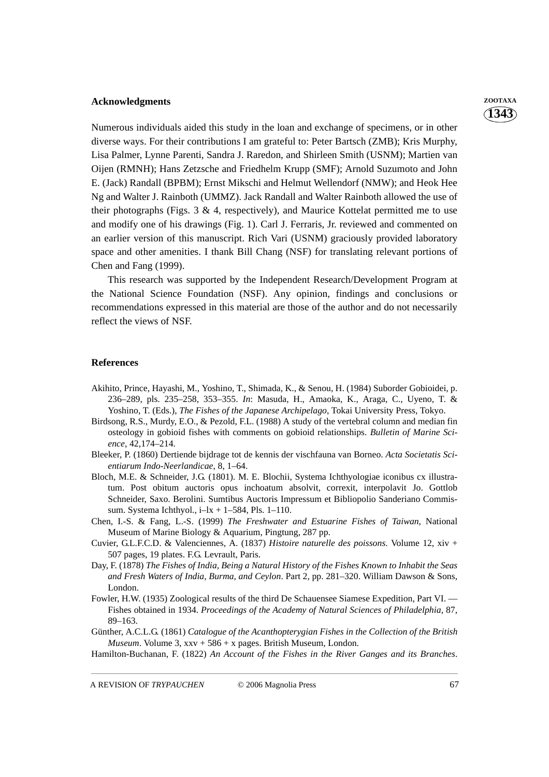## **Acknowledgments ZOOTAXA**

Numerous individuals aided this study in the loan and exchange of specimens, or in other diverse ways. For their contributions I am grateful to: Peter Bartsch (ZMB); Kris Murphy, Lisa Palmer, Lynne Parenti, Sandra J. Raredon, and Shirleen Smith (USNM); Martien van Oijen (RMNH); Hans Zetzsche and Friedhelm Krupp (SMF); Arnold Suzumoto and John E. (Jack) Randall (BPBM); Ernst Mikschi and Helmut Wellendorf (NMW); and Heok Hee Ng and Walter J. Rainboth (UMMZ). Jack Randall and Walter Rainboth allowed the use of their photographs (Figs. 3  $\&$  4, respectively), and Maurice Kottelat permitted me to use and modify one of his drawings (Fig. 1). Carl J. Ferraris, Jr. reviewed and commented on an earlier version of this manuscript. Rich Vari (USNM) graciously provided laboratory space and other amenities. I thank Bill Chang (NSF) for translating relevant portions of Chen and Fang (1999).

This research was supported by the Independent Research/Development Program at the National Science Foundation (NSF). Any opinion, findings and conclusions or recommendations expressed in this material are those of the author and do not necessarily reflect the views of NSF.

#### **References**

- Akihito, Prince, Hayashi, M., Yoshino, T., Shimada, K., & Senou, H. (1984) Suborder Gobioidei, p. 236–289, pls. 235–258, 353–355. *In*: Masuda, H., Amaoka, K., Araga, C., Uyeno, T. & Yoshino, T. (Eds.), *The Fishes of the Japanese Archipelago*, Tokai University Press, Tokyo.
- Birdsong, R.S., Murdy, E.O., & Pezold, F.L. (1988) A study of the vertebral column and median fin osteology in gobioid fishes with comments on gobioid relationships. *Bulletin of Marine Science*, 42,174–214.
- Bleeker, P. (1860) Dertiende bijdrage tot de kennis der vischfauna van Borneo. *Acta Societatis Scientiarum Indo-Neerlandicae*, 8, 1–64.
- Bloch, M.E. & Schneider, J.G. (1801). M. E. Blochii, Systema Ichthyologiae iconibus cx illustratum. Post obitum auctoris opus inchoatum absolvit, correxit, interpolavit Jo. Gottlob Schneider, Saxo. Berolini. Sumtibus Auctoris Impressum et Bibliopolio Sanderiano Commissum. Systema Ichthyol., i–lx + 1–584, Pls. 1–110.
- Chen, I.-S. & Fang, L.-S. (1999) *The Freshwater and Estuarine Fishes of Taiwan*, National Museum of Marine Biology & Aquarium, Pingtung, 287 pp.
- Cuvier, G.L.F.C.D. & Valenciennes, A. (1837) *Histoire naturelle des poissons*. Volume 12, xiv + 507 pages, 19 plates. F.G. Levrault, Paris.
- Day, F. (1878) *The Fishes of India, Being a Natural History of the Fishes Known to Inhabit the Seas and Fresh Waters of India, Burma, and Ceylon*. Part 2, pp. 281–320. William Dawson & Sons, London.
- Fowler, H.W. (1935) Zoological results of the third De Schauensee Siamese Expedition, Part VI. Fishes obtained in 1934. *Proceedings of the Academy of Natural Sciences of Philadelphia*, 87, 89–163.
- Günther, A.C.L.G. (1861) *Catalogue of the Acanthopterygian Fishes in the Collection of the British Museum*. Volume 3, xxv + 586 + x pages. British Museum, London.

Hamilton-Buchanan, F. (1822) *An Account of the Fishes in the River Ganges and its Branches*.

A REVISION OF *TRYPAUCHEN* © 2006 Magnolia Press 67